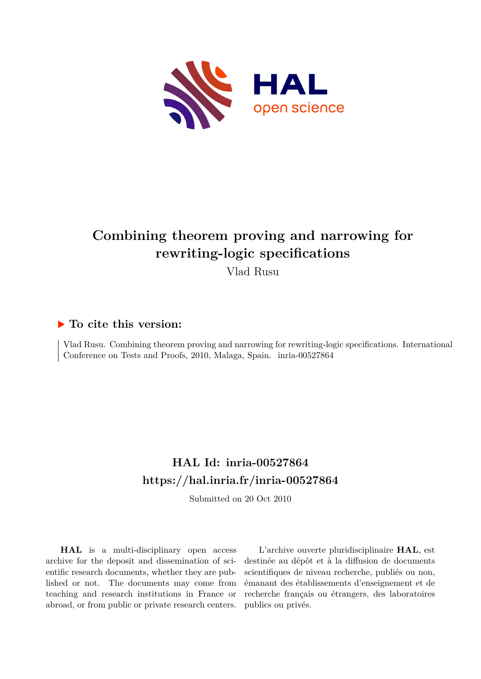

# **Combining theorem proving and narrowing for rewriting-logic specifications**

Vlad Rusu

### **To cite this version:**

Vlad Rusu. Combining theorem proving and narrowing for rewriting-logic specifications. International Conference on Tests and Proofs, 2010, Malaga, Spain. inria-00527864

## **HAL Id: inria-00527864 <https://hal.inria.fr/inria-00527864>**

Submitted on 20 Oct 2010

**HAL** is a multi-disciplinary open access archive for the deposit and dissemination of scientific research documents, whether they are published or not. The documents may come from teaching and research institutions in France or abroad, or from public or private research centers.

L'archive ouverte pluridisciplinaire **HAL**, est destinée au dépôt et à la diffusion de documents scientifiques de niveau recherche, publiés ou non, émanant des établissements d'enseignement et de recherche français ou étrangers, des laboratoires publics ou privés.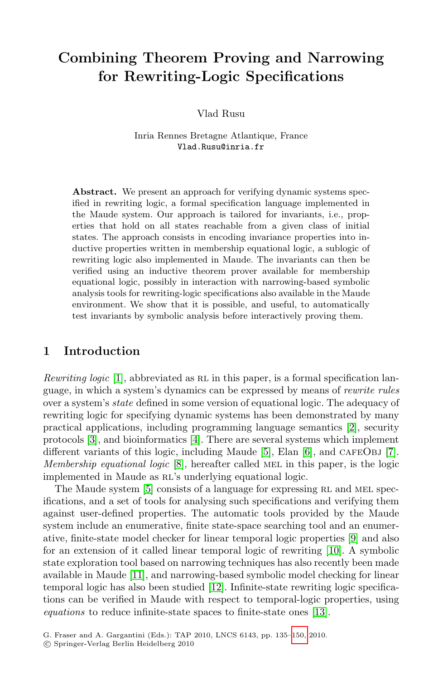## Combining Theorem Proving and Narrowing for Rewriting-Logic Specifications

Vlad Rusu

Inria Rennes Bretagne Atlantique, France Vlad.Rusu@inria.fr

Abstract. We present an approach for verifying dynamic systems specified in rewriting logic, a formal specification language implemented in the Maude system. Our approach is tailored for invariants, i.e., properties that hold on all states reachable from a given class of initial states. The approach consists in encoding invariance properties into inductive properties written in membership equational logic, a sublogic of rewriting logic also implemented in Maude. The invariants can then be verified using an inductive theorem prover available for membership equational logic, possibly in interaction with narrowing-based symbolic analysis tools for rewriting-logic specifications also available in the Maude environment. We show that it is possible, and useful, to automatically test invariants by symbolic analysis before interactively proving them.

#### 1 Introduction

Rewriting logic  $[1]$ , abbreviated as RL in this paper, is a formal specification language, in which a system's dynamics can be expressed by means of rewrite rules over a system's state defined in some version of equational logic. The adequacy of rewriting logic for specifying dynamic systems has been demonstrated by many practical applications, including programming language semantics [\[2\]](#page-15-1), security protocols [\[3\]](#page-15-2), and bioinformatics [\[4\]](#page-15-3). There are several systems which implement different variants of this logic, including Maude  $[5]$ , Elan  $[6]$ , and CAFEOBJ  $[7]$ . Membership equational logic [\[8\]](#page-15-7), hereafter called MEL in this paper, is the logic implemented in Maude as RL's underlying equational logic.

The Maude system [\[5\]](#page-15-4) consists of a language for expressing RL and MEL specifications, and a set of tools for analysing such specifications and verifying them against user-defined properties. The automatic tools provided by the Maude system include an enumerative, finite state-space searching tool and an enumerative, finite-state model checker for linear temporal logic properties [\[9\]](#page-15-8) and also for an extension of it called linear temporal logic of rewriting [\[10\]](#page-16-0). A symbolic state exploration tool based on narrowing techniques has also recently been made available in Maude [\[11\]](#page-16-1), and narrowing-based symbolic model checking for linear temporal logic has also been studied [\[12\]](#page-16-2). Infinite-state rewriting logic specifications can be verified in Maude with respect to temporal-logic properties, using equations to reduce infinite-state spaces to finite-state ones [\[13\]](#page-16-3).

G. Fraser and A. Gargantini (Eds.): TAP 2010, LNCS 6143, pp. 135[–150,](#page-16-4) 2010.

<sup>-</sup>c Springer-Verlag Berlin Heidelberg 2010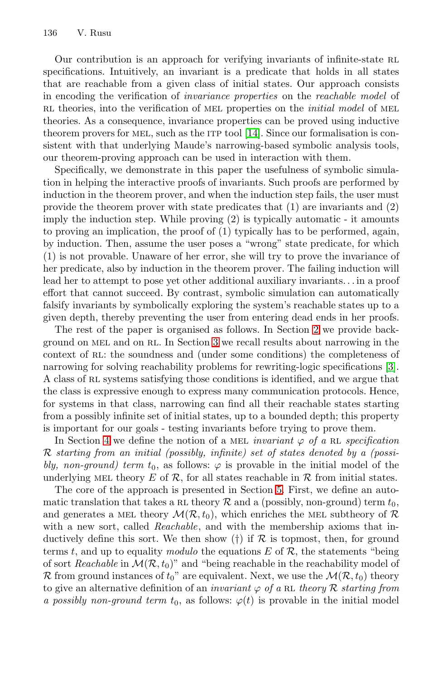Our contribution is an approach for verifying invariants of infinite-state RL specifications. Intuitively, an invariant is a predicate that holds in all states that are reachable from a given class of initial states. Our approach consists in encoding the verification of invariance properties on the reachable model of RL theories, into the verification of MEL properties on the *initial model* of MEL theories. As a consequence, invariance properties can be proved using inductive theorem provers for MEL, such as the ITP tool  $[14]$ . Since our formalisation is consistent with that underlying Maude's narrowing-based symbolic analysis tools, our theorem-proving approach can be used in interaction with them.

Specifically, we demonstrate in this paper the usefulness of symbolic simulation in helping the interactive proofs of invariants. Such proofs are performed by induction in the theorem prover, and when the induction step fails, the user must provide the theorem prover with state predicates that  $(1)$  are invariants and  $(2)$ imply the induction step. While proving (2) is typically automatic - it amounts to proving an implication, the proof of (1) typically has to be performed, again, by induction. Then, assume the user poses a "wrong" state predicate, for which (1) is not provable. Unaware of her error, she will try to prove the invariance of her predicate, also by induction in the theorem prover. The failing induction will lead her to attempt to pose yet other additional auxiliary invariants. . . in a proof effort that cannot succeed. By contrast, symbolic simulation can automatically falsify invariants by symbolically exploring the system's reachable states up to a given depth, thereby preventing the user from entering dead ends in her proofs.

The rest of the paper is organised as follows. In Section [2](#page-3-0) we provide background on mel and on rl. In Section [3](#page-6-0) we recall results about narrowing in the context of rl: the soundness and (under some conditions) the completeness of narrowing for solving reachability problems for rewriting-logic specifications [\[3\]](#page-15-2). A class of rl systems satisfying those conditions is identified, and we argue that the class is expressive enough to express many communication protocols. Hence, for systems in that class, narrowing can find all their reachable states starting from a possibly infinite set of initial states, up to a bounded depth; this property is important for our goals - testing invariants before trying to prove them.

In Section [4](#page-7-0) we define the notion of a MEL invariant  $\varphi$  of a RL specification R starting from an initial (possibly, infinite) set of states denoted by a (possibly, non-ground) term  $t_0$ , as follows:  $\varphi$  is provable in the initial model of the underlying MEL theory E of R, for all states reachable in R from initial states.

The core of the approach is presented in Section [5.](#page-8-0) First, we define an automatic translation that takes a RL theory  $R$  and a (possibly, non-ground) term  $t_0$ , and generates a MEL theory  $\mathcal{M}(\mathcal{R}, t_0)$ , which enriches the MEL subtheory of  $\mathcal{R}$ with a new sort, called *Reachable*, and with the membership axioms that inductively define this sort. We then show  $(\dagger)$  if  $R$  is topmost, then, for ground terms t, and up to equality modulo the equations  $E$  of  $\mathcal{R}$ , the statements "being of sort Reachable in  $\mathcal{M}(\mathcal{R}, t_0)$ " and "being reachable in the reachability model of R from ground instances of  $t_0$ " are equivalent. Next, we use the  $\mathcal{M}(\mathcal{R}, t_0)$  theory to give an alternative definition of an *invariant*  $\varphi$  of a RL theory R starting from a possibly non-ground term  $t_0$ , as follows:  $\varphi(t)$  is provable in the initial model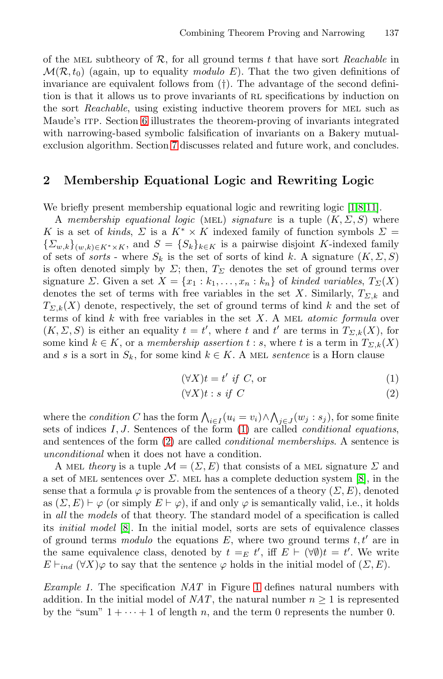of the MEL subtheory of  $\mathcal{R}$ , for all ground terms t that have sort *Reachable* in  $\mathcal{M}(\mathcal{R}, t_0)$  (again, up to equality modulo E). That the two given definitions of invariance are equivalent follows from (†). The advantage of the second definition is that it allows us to prove invariants of rl specifications by induction on the sort Reachable, using existing inductive theorem provers for MEL such as Maude's itp. Section [6](#page-11-0) illustrates the theorem-proving of invariants integrated with narrowing-based symbolic falsification of invariants on a Bakery mutualexclusion algorithm. Section [7](#page-12-0) discusses related and future work, and concludes.

#### <span id="page-3-0"></span>2 Membership Equational Logic and Rewriting Logic

We briefly present membership equational logic and rewriting logic [\[1](#page-15-0)[,8,](#page-15-7)[11\]](#page-16-1).

A membership equational logic (MEL) signature is a tuple  $(K, \Sigma, S)$  where K is a set of kinds,  $\Sigma$  is a  $K^* \times K$  indexed family of function symbols  $\Sigma =$  ${\{\Sigma_{w,k}\}}_{(w,k)\in K^*\times K}$ , and  $S = {\{S_k\}}_{k\in K}$  is a pairwise disjoint K-indexed family of sets of *sorts* - where  $S_k$  is the set of sorts of kind k. A signature  $(K, \Sigma, S)$ is often denoted simply by  $\Sigma$ ; then,  $T_{\Sigma}$  denotes the set of ground terms over signature Σ. Given a set  $X = \{x_1 : k_1, \ldots, x_n : k_n\}$  of kinded variables,  $T_{\Sigma}(X)$ denotes the set of terms with free variables in the set X. Similarly,  $T_{\Sigma,k}$  and  $T_{\Sigma,k}(X)$  denote, respectively, the set of ground terms of kind k and the set of terms of kind k with free variables in the set  $X$ . A MEL atomic formula over  $(K, \Sigma, S)$  is either an equality  $t = t'$ , where t and t' are terms in  $T_{\Sigma, k}(X)$ , for some kind  $k \in K$ , or a membership assertion t: s, where t is a term in  $T_{\Sigma,k}(X)$ and s is a sort in  $S_k$ , for some kind  $k \in K$ . A MEL sentence is a Horn clause

<span id="page-3-1"></span>
$$
(\forall X)t = t' \text{ if } C, \text{ or } (1)
$$

$$
(\forall X)t:s \text{ if } C \tag{2}
$$

where the *condition* C has the form  $\bigwedge_{i\in I} (u_i = v_i) \wedge \bigwedge_{j\in J} (w_j : s_j)$ , for some finite sets of indices  $I, J$ . Sentences of the form  $(1)$  are called *conditional equations*, and sentences of the form [\(2\)](#page-3-1) are called conditional memberships. A sentence is unconditional when it does not have a condition.

A MEL theory is a tuple  $\mathcal{M} = (\Sigma, E)$  that consists of a MEL signature  $\Sigma$  and a set of MEL sentences over  $\Sigma$ . MEL has a complete deduction system [\[8\]](#page-15-7), in the sense that a formula  $\varphi$  is provable from the sentences of a theory  $(\Sigma, E)$ , denoted as  $(\Sigma, E) \vdash \varphi$  (or simply  $E \vdash \varphi$ ), if and only  $\varphi$  is semantically valid, i.e., it holds in all the models of that theory. The standard model of a specification is called its initial model [\[8\]](#page-15-7). In the initial model, sorts are sets of equivalence classes of ground terms modulo the equations E, where two ground terms  $t, t'$  are in the same equivalence class, denoted by  $t =_E t'$ , iff  $E \vdash (\forall \emptyset)t = t'$ . We write  $E \vdash_{ind} (\forall X) \varphi$  to say that the sentence  $\varphi$  holds in the initial model of  $(\varSigma, E)$ .

Example 1. The specification NAT in Figure [1](#page-4-0) defines natural numbers with addition. In the initial model of  $NAT$ , the natural number  $n \geq 1$  is represented by the "sum"  $1 + \cdots + 1$  of length n, and the term 0 represents the number 0.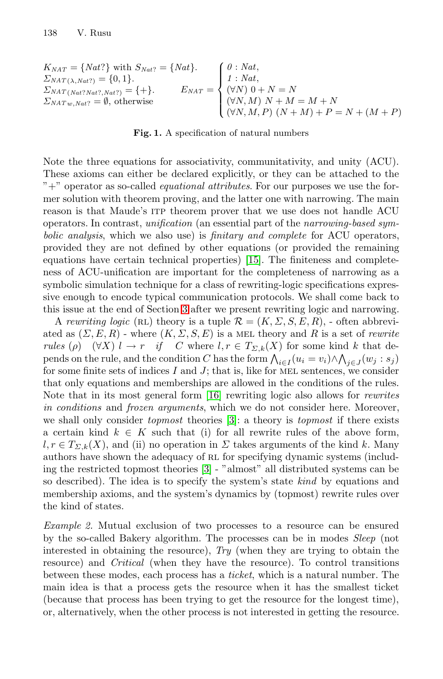$$
K_{NAT} = \{Nat\} \text{ with } S_{Nat?} = \{Nat\}. \\
\sum_{NAT(\lambda, Nat); Nat; Nat; Nat; l = 0, 1} \{ n \}.
$$
\n
$$
S_{NAT(\lambda, Nat; Nat; Nat; l = 1, 1)} = \{ + \}.
$$
\n
$$
K_{NAT} = \begin{cases} 0: Nat, \\ 1: Nat, \\ (\forall N) 0 + N = N \\ (\forall N, M) N + M = M + N \\ (\forall N, M, P) (N + M) + P = N + (M + P) \end{cases}
$$

<span id="page-4-0"></span>Fig. 1. A specification of natural numbers

Note the three equations for associativity, communitativity, and unity (ACU). These axioms can either be declared explicitly, or they can be attached to the  $"$ +" operator as so-called *equational attributes*. For our purposes we use the former solution with theorem proving, and the latter one with narrowing. The main reason is that Maude's itp theorem prover that we use does not handle ACU operators. In contrast, unification (an essential part of the narrowing-based symbolic analysis, which we also use) is finitary and complete for ACU operators, provided they are not defined by other equations (or provided the remaining equations have certain technical properties) [\[15\]](#page-16-6). The finiteness and completeness of ACU-unification are important for the completeness of narrowing as a symbolic simulation technique for a class of rewriting-logic specifications expressive enough to encode typical communication protocols. We shall come back to this issue at the end of Section [3](#page-6-0) after we present rewriting logic and narrowing.

A rewriting logic (RL) theory is a tuple  $\mathcal{R} = (K, \Sigma, S, E, R)$ , - often abbreviated as  $(\Sigma, E, R)$  - where  $(K, \Sigma, S, E)$  is a MEL theory and R is a set of *rewrite* rules (ρ)  $(\forall X)$   $l \rightarrow r$  if C where  $l, r \in T_{\Sigma,k}(X)$  for some kind k that depends on the rule, and the condition C has the form  $\bigwedge_{i\in I} (u_i = v_i) \wedge \bigwedge_{j\in J} (w_j : s_j)$ for some finite sets of indices  $I$  and  $J$ ; that is, like for MEL sentences, we consider that only equations and memberships are allowed in the conditions of the rules. Note that in its most general form [\[16\]](#page-16-7) rewriting logic also allows for *rewrites* in conditions and frozen arguments, which we do not consider here. Moreover, we shall only consider *topmost* theories [\[3\]](#page-15-2): a theory is *topmost* if there exists a certain kind  $k \in K$  such that (i) for all rewrite rules of the above form,  $l, r \in T_{\Sigma,k}(X)$ , and (ii) no operation in  $\Sigma$  takes arguments of the kind k. Many authors have shown the adequacy of RL for specifying dynamic systems (including the restricted topmost theories [\[3\]](#page-15-2) - "almost" all distributed systems can be so described). The idea is to specify the system's state *kind* by equations and membership axioms, and the system's dynamics by (topmost) rewrite rules over the kind of states.

<span id="page-4-1"></span>Example 2. Mutual exclusion of two processes to a resource can be ensured by the so-called Bakery algorithm. The processes can be in modes Sleep (not interested in obtaining the resource), Try (when they are trying to obtain the resource) and Critical (when they have the resource). To control transitions between these modes, each process has a ticket, which is a natural number. The main idea is that a process gets the resource when it has the smallest ticket (because that process has been trying to get the resource for the longest time), or, alternatively, when the other process is not interested in getting the resource.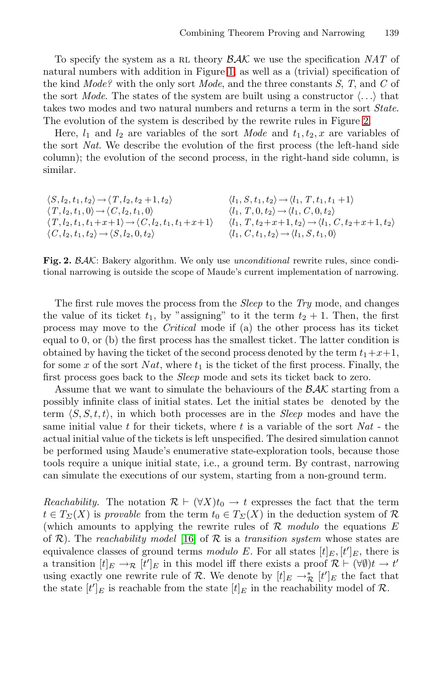To specify the system as a RL theory  $\beta A\mathcal{K}$  we use the specification  $NAT$  of natural numbers with addition in Figure [1,](#page-4-0) as well as a (trivial) specification of the kind  $Mode$ ? with the only sort Mode, and the three constants S, T, and C of the sort *Mode*. The states of the system are built using a constructor  $\langle \ldots \rangle$  that takes two modes and two natural numbers and returns a term in the sort State. The evolution of the system is described by the rewrite rules in Figure [2.](#page-5-0)

Here,  $l_1$  and  $l_2$  are variables of the sort *Mode* and  $t_1, t_2, x$  are variables of the sort Nat. We describe the evolution of the first process (the left-hand side column); the evolution of the second process, in the right-hand side column, is similar.

 $\langle S, l_2, t_1, t_2 \rangle \rightarrow \langle T, l_2, t_2 +1, t_2 \rangle$  $\langle T, l_2, t_1, 0 \rangle \rightarrow \langle C, l_2, t_1, 0 \rangle$  $\langle T, l_2, t_1, t_1+x+1 \rangle \rightarrow \langle C, l_2, t_1, t_1+x+1 \rangle$  $\langle C, l_2, t_1, t_2 \rangle \rightarrow \langle S, l_2, 0, t_2 \rangle$  $\langle l_1, S, t_1, t_2 \rangle \rightarrow \langle l_1, T, t_1, t_1 + 1 \rangle$  $\langle l_1, T, 0, t_2 \rangle \rightarrow \langle l_1, C, 0, t_2 \rangle$  $\langle l_1, T, t_2+x+1, t_2 \rangle \rightarrow \langle l_1, C, t_2+x+1, t_2 \rangle$  $\langle l_1, C, t_1, t_2 \rangle \rightarrow \langle l_1, S, t_1, 0 \rangle$ 

<span id="page-5-0"></span>Fig. 2.  $\beta \mathcal{A} \mathcal{K}$ : Bakery algorithm. We only use *unconditional* rewrite rules, since conditional narrowing is outside the scope of Maude's current implementation of narrowing.

The first rule moves the process from the *Sleep* to the Try mode, and changes the value of its ticket  $t_1$ , by "assigning" to it the term  $t_2 + 1$ . Then, the first process may move to the Critical mode if (a) the other process has its ticket equal to 0, or (b) the first process has the smallest ticket. The latter condition is obtained by having the ticket of the second process denoted by the term  $t_1+x+1$ , for some x of the sort  $Nat$ , where  $t_1$  is the ticket of the first process. Finally, the first process goes back to the *Sleep* mode and sets its ticket back to zero.

Assume that we want to simulate the behaviours of the  $\beta\mathcal{AK}$  starting from a possibly infinite class of initial states. Let the initial states be denoted by the term  $\langle S, S, t, t \rangle$ , in which both processes are in the *Sleep* modes and have the same initial value t for their tickets, where t is a variable of the sort  $Nat$  - the actual initial value of the tickets is left unspecified. The desired simulation cannot be performed using Maude's enumerative state-exploration tools, because those tools require a unique initial state, i.e., a ground term. By contrast, narrowing can simulate the executions of our system, starting from a non-ground term.

Reachability. The notation  $\mathcal{R} \vdash (\forall X) t_0 \rightarrow t$  expresses the fact that the term  $t \in T_\Sigma(X)$  is provable from the term  $t_0 \in T_\Sigma(X)$  in the deduction system of R (which amounts to applying the rewrite rules of  $\mathcal R$  modulo the equations E of R). The reachability model [\[16\]](#page-16-7) of R is a transition system whose states are equivalence classes of ground terms modulo E. For all states  $[t]_E$ ,  $[t']_E$ , there is a transition  $[t]_E \to_{\mathcal{R}} [t']_E$  in this model iff there exists a proof  $\mathcal{R} \vdash (\forall \emptyset)t \to t'$ using exactly one rewrite rule of R. We denote by  $[t]_E \to_{\mathcal{R}}^* [t']_E$  the fact that the state  $[t']_E$  is reachable from the state  $[t]_E$  in the reachability model of  $\mathcal{R}$ .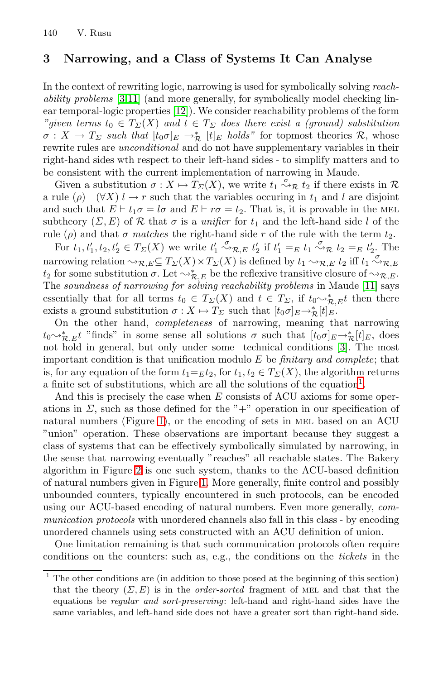#### <span id="page-6-0"></span>3 Narrowing, and a Class of Systems It Can Analyse

In the context of rewriting logic, narrowing is used for symbolically solving reachability problems [\[3](#page-15-2)[,11\]](#page-16-1) (and more generally, for symbolically model checking linear temporal-logic properties [\[12\]](#page-16-2)). We consider reachability problems of the form "given terms  $t_0 \in T_\Sigma(X)$  and  $t \in T_\Sigma$  does there exist a (ground) substitution  $\sigma: X \to T_{\Sigma}$  such that  $[t_0 \sigma]_E \to_R^* [t]_E$  holds" for topmost theories R, whose rewrite rules are *unconditional* and do not have supplementary variables in their right-hand sides wth respect to their left-hand sides - to simplify matters and to be consistent with the current implementation of narrowing in Maude.

Given a substitution  $\sigma: X \mapsto T_{\Sigma}(X)$ , we write  $t_1 \stackrel{\sigma}{\rightsquigarrow} \mathcal{R}$  if there exists in  $\mathcal{R}$ a rule ( $\rho$ ) ( $\forall X$ )  $l \rightarrow r$  such that the variables occuring in  $t_1$  and l are disjoint and such that  $E \vdash t_1 \sigma = l \sigma$  and  $E \vdash r \sigma = t_2$ . That is, it is provable in the MEL subtheory  $(\Sigma, E)$  of R that  $\sigma$  is a unifier for  $t_1$  and the left-hand side l of the rule ( $\rho$ ) and that  $\sigma$  matches the right-hand side r of the rule with the term  $t_2$ .

For  $t_1, t'_1, t_2, t'_2 \in T_\Sigma(X)$  we write  $t'_1 \stackrel{\sigma}{\leadsto} \mathcal{R}, E \ t'_2$  if  $t'_1 =_E t_1 \stackrel{\sigma}{\leadsto} \mathcal{R} \ t_2 =_E t'_2$ . The narrowing relation  $\leadsto_{\mathcal{R},E} \subseteq T_{\Sigma}(X) \times T_{\Sigma}(X)$  is defined by  $t_1 \leadsto_{\mathcal{R},E} t_2$  iff  $t_1 \stackrel{\sigma}{\leadsto}_{\mathcal{R},E}$  $t_2$  for some substitution  $\sigma$ . Let  $\leadsto_{\mathcal{R},E}^*$  be the reflexive transitive closure of  $\leadsto_{\mathcal{R},E}$ . The soundness of narrowing for solving reachability problems in Maude [\[11\]](#page-16-1) says essentially that for all terms  $t_0 \in T_\Sigma(X)$  and  $t \in T_\Sigma$ , if  $t_0 \leadsto_{\mathcal{R},E}^* t$  then there exists a ground substitution  $\sigma: X \mapsto T_{\Sigma}$  such that  $[t_0 \sigma]_E \rightarrow \mathcal{R}[t]_E$ .

On the other hand, completeness of narrowing, meaning that narrowing  $t_0 \leadsto_{\mathcal{R},E}^* t$  "finds" in some sense all solutions  $\sigma$  such that  $[t_0 \sigma]_E \to_{\mathcal{R}}^* [t]_E$ , does not hold in general, but only under some technical conditions [\[3\]](#page-15-2). The most important condition is that unification modulo  $E$  be *finitary and complete*; that is, for any equation of the form  $t_1=\mathbf{E}t_2$ , for  $t_1, t_2 \in T_{\Sigma}(X)$ , the algorithm returns a finite set of substitutions, which are all the solutions of the equation<sup>[1](#page-6-1)</sup>.

And this is precisely the case when  $E$  consists of ACU axioms for some operations in  $\Sigma$ , such as those defined for the "+" operation in our specification of natural numbers (Figure [1\)](#page-4-0), or the encoding of sets in MEL based on an ACU "union" operation. These observations are important because they suggest a class of systems that can be effectively symbolically simulated by narrowing, in the sense that narrowing eventually "reaches" all reachable states. The Bakery algorithm in Figure [2](#page-5-0) is one such system, thanks to the ACU-based definition of natural numbers given in Figure [1.](#page-4-0) More generally, finite control and possibly unbounded counters, typically encountered in such protocols, can be encoded using our ACU-based encoding of natural numbers. Even more generally, communication protocols with unordered channels also fall in this class - by encoding unordered channels using sets constructed with an ACU definition of union.

One limitation remaining is that such communication protocols often require conditions on the counters: such as, e.g., the conditions on the tickets in the

<span id="page-6-1"></span> $1$  The other conditions are (in addition to those posed at the beginning of this section) that the theory  $(\Sigma, E)$  is in the *order-sorted* fragment of MEL and that that the equations be regular and sort-preserving: left-hand and right-hand sides have the same variables, and left-hand side does not have a greater sort than right-hand side.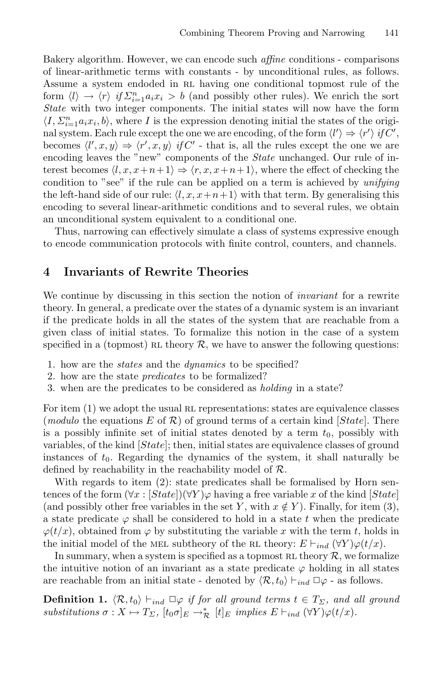Bakery algorithm. However, we can encode such affine conditions - comparisons of linear-arithmetic terms with constants - by unconditional rules, as follows. Assume a system endoded in RL having one conditional topmost rule of the form  $\langle l \rangle \to \langle r \rangle$  if  $\Sigma_{i=1}^n a_i x_i > b$  (and possibly other rules). We enrich the sort State with two integer components. The initial states will now have the form  $\langle I, \sum_{i=1}^n a_i x_i, b \rangle$ , where I is the expression denoting initial the states of the original system. Each rule except the one we are encoding, of the form  $\langle l' \rangle \Rightarrow \langle r' \rangle$  if C', becomes  $\langle l', x, y \rangle \Rightarrow \langle r', x, y \rangle$  if C' - that is, all the rules except the one we are encoding leaves the "new" components of the *State* unchanged. Our rule of interest becomes  $\langle l, x, x+n+1 \rangle \Rightarrow \langle r, x, x+n+1 \rangle$ , where the effect of checking the condition to "see" if the rule can be applied on a term is achieved by unifying the left-hand side of our rule:  $\langle l, x, x+n+1 \rangle$  with that term. By generalising this encoding to several linear-arithmetic conditions and to several rules, we obtain an unconditional system equivalent to a conditional one.

Thus, narrowing can effectively simulate a class of systems expressive enough to encode communication protocols with finite control, counters, and channels.

#### <span id="page-7-0"></span>4 Invariants of Rewrite Theories

We continue by discussing in this section the notion of *invariant* for a rewrite theory. In general, a predicate over the states of a dynamic system is an invariant if the predicate holds in all the states of the system that are reachable from a given class of initial states. To formalize this notion in the case of a system specified in a (topmost) RL theory  $\mathcal{R}$ , we have to answer the following questions:

- 1. how are the states and the dynamics to be specified?
- 2. how are the state predicates to be formalized?
- 3. when are the predicates to be considered as holding in a state?

For item  $(1)$  we adopt the usual RL representations: states are equivalence classes (modulo the equations E of  $\mathcal{R}$ ) of ground terms of a certain kind [State]. There is a possibly infinite set of initial states denoted by a term  $t_0$ , possibly with variables, of the kind  $[State]$ ; then, initial states are equivalence classes of ground instances of  $t_0$ . Regarding the dynamics of the system, it shall naturally be defined by reachability in the reachability model of  $\mathcal{R}$ .

With regards to item (2): state predicates shall be formalised by Horn sentences of the form  $(\forall x : [State])(\forall Y)\varphi$  having a free variable x of the kind  $[State]$ (and possibly other free variables in the set Y, with  $x \notin Y$ ). Finally, for item (3), a state predicate  $\varphi$  shall be considered to hold in a state t when the predicate  $\varphi(t/x)$ , obtained from  $\varphi$  by substituting the variable x with the term t, holds in the initial model of the MEL subtheory of the RL theory:  $E \vdash_{ind} (\forall Y) \varphi(t/x)$ .

In summary, when a system is specified as a topmost  $RL$  theory  $R$ , we formalize the intuitive notion of an invariant as a state predicate  $\varphi$  holding in all states are reachable from an initial state - denoted by  $\langle \mathcal{R}, t_0 \rangle \vdash_{ind} \Box \varphi$  - as follows.

<span id="page-7-1"></span>**Definition 1.**  $\langle \mathcal{R}, t_0 \rangle \vdash_{ind} \Box \varphi$  if for all ground terms  $t \in T_{\Sigma}$ , and all ground substitutions  $\sigma: X \mapsto T_{\Sigma}$ ,  $[t_0 \sigma]_E \to_{\mathcal{R}}^*$   $[t]_E$  implies  $E \vdash_{ind} (\forall Y) \varphi(t/x)$ .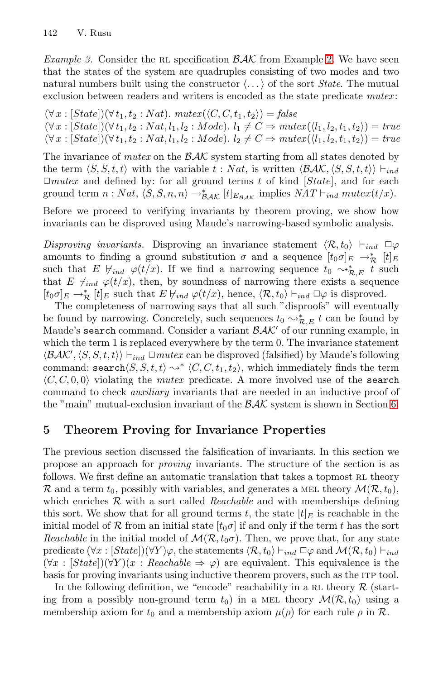*Example 3.* Consider the RL specification  $\beta A\mathcal{K}$  from Example [2.](#page-4-1) We have seen that the states of the system are quadruples consisting of two modes and two natural numbers built using the constructor  $\langle \ldots \rangle$  of the sort *State*. The mutual exclusion between readers and writers is encoded as the state predicate *mutex*:

 $(\forall x : [State])(\forall t_1, t_2 : Nat). \text{ } mutex(\langle C, C, t_1, t_2 \rangle) = \text{false}$  $(\forall x : [State]) (\forall t_1, t_2 : Nat, l_1, l_2 : Mode).$   $l_1 \neq C \Rightarrow mutex(\langle l_1, l_2, t_1, t_2 \rangle) = true$  $(\forall x : [State]) (\forall t_1, t_2 : Nat, l_1, l_2 : Mode).$   $l_2 \neq C \Rightarrow mutex(\langle l_1, l_2, t_1, t_2 \rangle) = true$ 

The invariance of mutex on the  $\beta A\mathcal{K}$  system starting from all states denoted by the term  $\langle S, S, t, t \rangle$  with the variable  $t : Nat$ , is written  $\langle BAK, \langle S, S, t, t \rangle \rangle \vdash_{ind}$  $\Box$ *mutex* and defined by: for all ground terms t of kind [State], and for each ground term  $n: Nat, \langle S, S, n, n \rangle \rightarrow_{\mathcal{BAK}}^* [t]_{E_{\mathcal{BAK}}}$  implies  $MAT \vdash_{ind} mutex(t/x)$ .

Before we proceed to verifying invariants by theorem proving, we show how invariants can be disproved using Maude's narrowing-based symbolic analysis.

Disproving invariants. Disproving an invariance statement  $\langle \mathcal{R}, t_0 \rangle \vdash_{ind} \Box \varphi$ amounts to finding a ground substitution  $\sigma$  and a sequence  $[t_0 \sigma]_E \to^*_{\mathcal{R}} [t]_E$ such that E  $\forall_{ind} \varphi(t/x)$ . If we find a narrowing sequence  $t_0 \leadsto_{\mathcal{R},E}^* t$  such that E  $\forall_{ind} \varphi(t/x)$ , then, by soundness of narrowing there exists a sequence  $[t_0 \sigma]_E \to_{\mathcal{R}}^* [t]_E$  such that  $E \not\vdash_{ind} \varphi(t/x)$ , hence,  $\langle \mathcal{R}, t_0 \rangle \vdash_{ind} \Box \varphi$  is disproved.

The completeness of narrowing says that all such "disproofs" will eventually be found by narrowing. Concretely, such sequences  $t_0 \leadsto_{\mathcal{R},E}^* t$  can be found by Maude's search command. Consider a variant  $\mathcal{BAK}'$  of our running example, in which the term 1 is replaced everywhere by the term 0. The invariance statement  $\langle \mathcal{BAK}', \langle S, S, t, t \rangle \rangle \vdash_{ind} \Box$ *mutex* can be disproved (falsified) by Maude's following command: search $\langle S, S, t, t \rangle \leadsto^* \langle C, C, t_1, t_2 \rangle$ , which immediately finds the term  $\langle C, C, 0, 0 \rangle$  violating the *mutex* predicate. A more involved use of the search command to check *auxiliary* invariants that are needed in an inductive proof of the "main" mutual-exclusion invariant of the  $\beta \mathcal{A} \mathcal{K}$  system is shown in Section [6.](#page-11-0)

#### <span id="page-8-0"></span>5 Theorem Proving for Invariance Properties

The previous section discussed the falsification of invariants. In this section we propose an approach for proving invariants. The structure of the section is as follows. We first define an automatic translation that takes a topmost RL theory R and a term  $t_0$ , possibly with variables, and generates a MEL theory  $\mathcal{M}(\mathcal{R}, t_0)$ , which enriches  $R$  with a sort called *Reachable* and with memberships defining this sort. We show that for all ground terms t, the state  $[t]_E$  is reachable in the initial model of R from an initial state  $|t_0\sigma|$  if and only if the term t has the sort Reachable in the initial model of  $\mathcal{M}(\mathcal{R}, t_0\sigma)$ . Then, we prove that, for any state predicate  $(\forall x : [State]) (\forall Y) \varphi$ , the statements  $\langle \mathcal{R}, t_0 \rangle \vdash_{ind} \Box \varphi$  and  $\mathcal{M}(\mathcal{R}, t_0) \vdash_{ind}$  $(\forall x : [State])(\forall Y)(x : Reachable \Rightarrow \varphi)$  are equivalent. This equivalence is the basis for proving invariants using inductive theorem provers, such as the itp tool.

<span id="page-8-1"></span>In the following definition, we "encode" reachability in a RL theory  $\mathcal R$  (starting from a possibly non-ground term  $t_0$ ) in a MEL theory  $\mathcal{M}(\mathcal{R}, t_0)$  using a membership axiom for  $t_0$  and a membership axiom  $\mu(\rho)$  for each rule  $\rho$  in  $\mathcal{R}$ .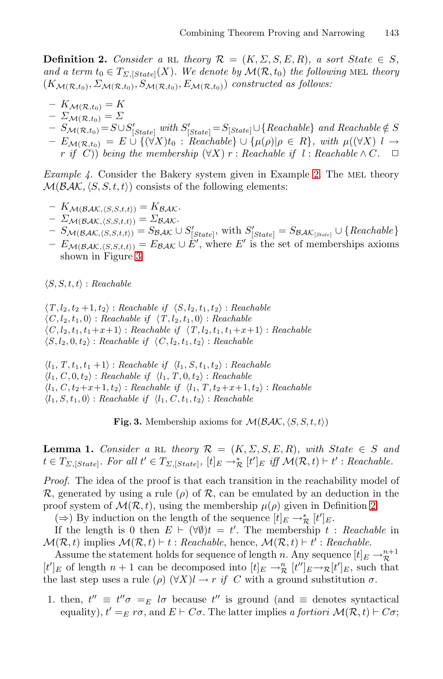**Definition 2.** Consider a RL theory  $\mathcal{R} = (K, \Sigma, S, E, R)$ , a sort State  $\in S$ , and a term  $t_0 \in T_{\Sigma, [State]}(X)$ . We denote by  $\mathcal{M}(\mathcal{R}, t_0)$  the following MEL theory  $(K_{\mathcal{M}(\mathcal{R},t_0)}, \Sigma_{\mathcal{M}(\mathcal{R},t_0)}, S_{\mathcal{M}(\mathcal{R},t_0)}, E_{\mathcal{M}(\mathcal{R},t_0)})$  constructed as follows:

 $-K_{\mathcal{M}(\mathcal{R},t_0)}=K$  $- \Sigma_{\mathcal{M}(\mathcal{R},t_0)} = \Sigma$  $-S_{\mathcal{M}(R,t_0)} = S \cup S'_{[State]}$  with  $S'_{[State]} = S_{[State]} \cup \{Reachable\}$  and Reachable  $\notin S$  $-E_{\mathcal{M}(\mathcal{R},t_0)}=E\dot{\cup}\{(\forall X)t_0:\text{Reachable}\}\cup\{\mu(\rho)|\rho\in R\},\text{ with }\mu((\forall X)\ l\rightarrow \emptyset)$ r if C)) being the membership  $(\forall X)$  r : Reachable if l : Reachable  $\wedge C$ .  $\Box$ 

*Example 4.* Consider the Bakery system given in Example [2.](#page-4-1) The MEL theory  $\mathcal{M}(\mathcal{B}\mathcal{AK}, \langle S, S, t, t \rangle)$  consists of the following elements:

- $-K_{\mathcal{M}(\mathcal{BAK},\langle S,S,t,t\rangle)}=K_{\mathcal{BAK}}.$
- $\Sigma_{\mathcal{M}(\mathcal{B}\mathcal{A}\mathcal{K}, \langle S,S,t,t\rangle)} = \Sigma_{\mathcal{B}\mathcal{A}\mathcal{K}}.$
- $-S_{\mathcal{M}(\mathcal{BAK},\langle S,S,t,t\rangle)}=S_{\mathcal{BAK}}\cup S'_{[State]},$  with  $S'_{[State]}=S_{\mathcal{BAK}_{[State]}}\cup\{Reachable\}$
- $-E_{\mathcal{M}(\mathcal{BAK},\langle S,S,t,t\rangle)}=E_{\mathcal{BAK}}\cup E'$ , where E' is the set of memberships axioms shown in Figure [3.](#page-9-0)

 $\langle S, S, t, t \rangle : Reachable$ 

 $\langle T, l_2, t_2+1, t_2 \rangle$ : Reachable if  $\langle S, l_2, t_1, t_2 \rangle$ : Reachable  $\langle C, l_2, t_1, 0 \rangle$ : Reachable if  $\langle T, l_2, t_1, 0 \rangle$ : Reachable  $\langle C, l_2, t_1, t_1+x+1 \rangle : Reachable \text{ if } \langle T, l_2, t_1, t_1+x+1 \rangle : Reachable$  $\langle S, l_2, 0, t_2 \rangle$ : Reachable if  $\langle C, l_2, t_1, t_2 \rangle$ : Reachable

 $\langle l_1, T, t_1, t_1 + 1 \rangle : Reachable \text{ if } \langle l_1, S, t_1, t_2 \rangle : Reachable$  $\langle l_1, C, 0, t_2 \rangle$ : Reachable if  $\langle l_1, T, 0, t_2 \rangle$ : Reachable  $\langle l_1, C, t_2+x+1, t_2 \rangle : Reachable \text{ if } \langle l_1, T, t_2+x+1, t_2 \rangle : Reachable$  $\langle l_1, S, t_1, 0 \rangle$ : Reachable if  $\langle l_1, C, t_1, t_2 \rangle$ : Reachable

<span id="page-9-0"></span>Fig. 3. Membership axioms for  $\mathcal{M}(\mathcal{B}\mathcal{AK}, \langle S, S, t, t \rangle)$ 

<span id="page-9-1"></span>**Lemma 1.** Consider a RL theory  $\mathcal{R} = (K, \Sigma, S, E, R)$ , with State  $\in S$  and  $t \in T_{\Sigma, [State]}$ . For all  $t' \in T_{\Sigma, [State]}$ ,  $[t]_E \rightarrow_{\mathcal{R}}^* [t']_E$  iff  $\mathcal{M}(\mathcal{R}, t) \vdash t'$ : Reachable.

Proof. The idea of the proof is that each transition in the reachability model of R, generated by using a rule ( $\rho$ ) of R, can be emulated by an deduction in the proof system of  $\mathcal{M}(\mathcal{R}, t)$ , using the membership  $\mu(\rho)$  given in Definition [2.](#page-8-1)

(⇒) By induction on the length of the sequence  $[t]_E \rightarrow_{\mathcal{R}}^* [t']_E$ .

If the length is 0 then  $E \vdash (\forall \emptyset)t = t'$ . The membership  $t : Reachable$  in  $\mathcal{M}(\mathcal{R}, t)$  implies  $\mathcal{M}(\mathcal{R}, t) \vdash t$ : Reachable, hence,  $\mathcal{M}(\mathcal{R}, t) \vdash t'$ : Reachable.

Assume the statement holds for sequence of length n. Any sequence  $[t]_E \rightarrow_{\mathcal{R}}^{n+1}$  $[t']_E$  of length  $n+1$  can be decomposed into  $[t]_E \to_R^n [t'']_E \to_R [t']_E$ , such that the last step uses a rule  $(\rho)$   $(\forall X) \ell \rightarrow r$  if C with a ground substitution  $\sigma$ .

1. then,  $t'' \equiv t''\sigma =_E l\sigma$  because  $t''$  is ground (and  $\equiv$  denotes syntactical equality),  $t' = E \r{r \sigma}$ , and  $E \vdash C\sigma$ . The latter implies a fortiori  $\mathcal{M}(\mathcal{R}, t) \vdash C\sigma$ ;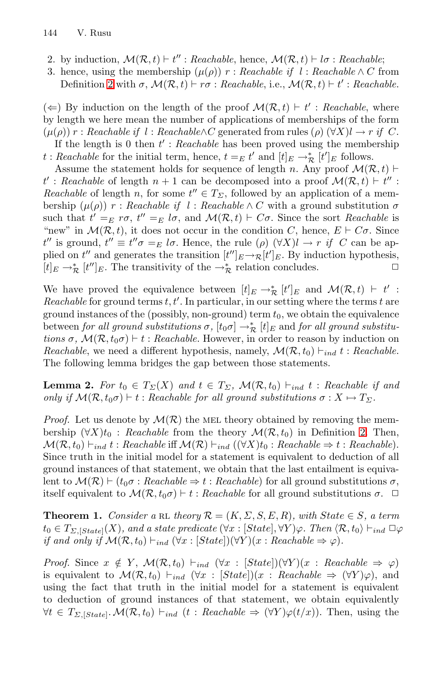- 2. by induction,  $\mathcal{M}(\mathcal{R}, t) \vdash t''$ : Reachable, hence,  $\mathcal{M}(\mathcal{R}, t) \vdash l\sigma$ : Reachable;
- 3. hence, using the membership  $(\mu(\rho))$  r : Reachable if l : Reachable  $\land C$  from Definition [2](#page-8-1) with  $\sigma$ ,  $\mathcal{M}(\mathcal{R}, t) \vdash r\sigma$ : Reachable, i.e.,  $\mathcal{M}(\mathcal{R}, t) \vdash t'$ : Reachable.

(←) By induction on the length of the proof  $\mathcal{M}(\mathcal{R}, t) \vdash t'$ : Reachable, where by length we here mean the number of applications of memberships of the form  $(\mu(\rho))$  r : Reachable if l : Reachable∧C generated from rules  $(\rho)$   $(\forall X)$ l  $\rightarrow$  r if C.

If the length is 0 then  $t'$ : Reachable has been proved using the membership t : Reachable for the initial term, hence,  $t =_E t'$  and  $[t]_E \to_{\mathcal{R}}^* [t']_E$  follows.

Assume the statement holds for sequence of length n. Any proof  $\mathcal{M}(\mathcal{R}, t)$  ⊢  $t'$ : Reachable of length  $n + 1$  can be decomposed into a proof  $\mathcal{M}(\mathcal{R}, t) \vdash t''$ : Reachable of length n, for some  $t'' \in T_{\Sigma}$ , followed by an application of a membership  $(\mu(\rho))$  r : Reachable if l : Reachable  $\wedge C$  with a ground substitution  $\sigma$ such that  $t' =_E r\sigma$ ,  $t'' =_E l\sigma$ , and  $\mathcal{M}(\mathcal{R}, t) \vdash C\sigma$ . Since the sort Reachable is "new" in  $\mathcal{M}(\mathcal{R}, t)$ , it does not occur in the condition C, hence,  $E \vdash C\sigma$ . Since  $t''$  is ground,  $t'' \equiv t''\sigma =_E l\sigma$ . Hence, the rule  $(\rho)$   $(\forall X)l \rightarrow r$  if C can be applied on  $t''$  and generates the transition  $[t'']_{E} \rightarrow \mathcal{R}[t']_{E}$ . By induction hypothesis,  $[t]_E \to_{\mathcal{R}}^* [t'']_E$ . The transitivity of the  $\to_{\mathcal{R}}^*$  relation concludes.

We have proved the equivalence between  $[t]_E \to_{\mathcal{R}}^* [t']_E$  and  $\mathcal{M}(\mathcal{R}, t) \vdash t'$ : Reachable for ground terms  $t, t'$ . In particular, in our setting where the terms  $t$  are ground instances of the (possibly, non-ground) term  $t_0$ , we obtain the equivalence between for all ground substitutions  $\sigma$ ,  $[t_0\sigma] \rightarrow_{\mathcal{R}}^* [t]_E$  and for all ground substitutions  $\sigma$ ,  $\mathcal{M}(\mathcal{R}, t_0\sigma) \vdash t$ : Reachable. However, in order to reason by induction on Reachable, we need a different hypothesis, namely,  $\mathcal{M}(\mathcal{R}, t_0) \vdash_{ind} t$ : Reachable. The following lemma bridges the gap between those statements.

<span id="page-10-0"></span>**Lemma 2.** For  $t_0 \in T_\Sigma(X)$  and  $t \in T_\Sigma$ ,  $\mathcal{M}(\mathcal{R}, t_0) \vdash_{ind} t$ : Reachable if and only if  $\mathcal{M}(\mathcal{R}, t_0\sigma) \vdash t$ : Reachable for all ground substitutions  $\sigma : X \mapsto T_{\Sigma}$ .

*Proof.* Let us denote by  $\mathcal{M}(\mathcal{R})$  the MEL theory obtained by removing the membership  $(\forall X)t_0$ : Reachable from the theory  $\mathcal{M}(\mathcal{R}, t_0)$  in Definition [2.](#page-8-1) Then,  $\mathcal{M}(\mathcal{R}, t_0) \vdash_{ind} t : Reachable \text{ iff } \mathcal{M}(\mathcal{R}) \vdash_{ind} ((\forall X)t_0 : Reachable \Rightarrow t : Reachable).$ Since truth in the initial model for a statement is equivalent to deduction of all ground instances of that statement, we obtain that the last entailment is equivalent to  $\mathcal{M}(\mathcal{R}) \vdash (t_0 \sigma : Reachable \Rightarrow t : Reachable)$  for all ground substitutions  $\sigma$ , itself equivalent to  $\mathcal{M}(\mathcal{R}, t_0\sigma) \vdash t$ : Reachable for all ground substitutions  $\sigma$ .  $\Box$ 

**Theorem 1.** Consider a RL theory  $\mathcal{R} = (K, \Sigma, S, E, R)$ , with State  $\in S$ , a term  $t_0 \in T_{\Sigma, [State]}(X)$ , and a state predicate  $(\forall x : [State], \forall Y)\varphi$ . Then  $\langle \mathcal{R}, t_0 \rangle \vdash_{ind} \Box \varphi$ if and only if  $\mathcal{M}(\mathcal{R}, t_0) \vdash_{ind} (\forall x : [State])(\forall Y)(x : Reachable \Rightarrow \varphi).$ 

*Proof.* Since  $x \notin Y$ ,  $\mathcal{M}(\mathcal{R}, t_0) \vdash_{ind} (\forall x : [State])(\forall Y)(x : Reachable \Rightarrow \varphi)$ is equivalent to  $\mathcal{M}(\mathcal{R}, t_0) \vdash_{ind} (\forall x : [State])(x : Reachable \Rightarrow (\forall Y)\varphi)$ , and using the fact that truth in the initial model for a statement is equivalent to deduction of ground instances of that statement, we obtain equivalently  $\forall t \in T_{\Sigma, [State]}$ .  $\mathcal{M}(\mathcal{R}, t_0) \vdash_{ind} (t : Reachable \Rightarrow (\forall Y) \varphi(t/x))$ . Then, using the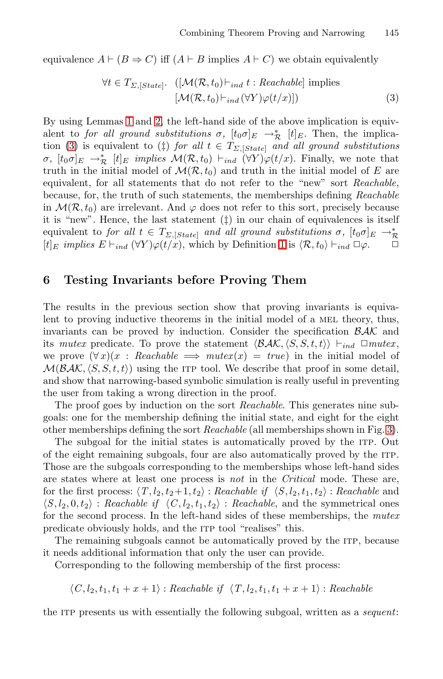equivalence  $A \vdash (B \Rightarrow C)$  iff  $(A \vdash B$  implies  $A \vdash C)$  we obtain equivalently

<span id="page-11-1"></span>
$$
\forall t \in T_{\Sigma, [State]}.\ \ ([\mathcal{M}(\mathcal{R}, t_0) \vdash_{ind} t : Reachable] \text{ implies} \ \ [\mathcal{M}(\mathcal{R}, t_0) \vdash_{ind} (\forall Y) \varphi(t/x)]) \tag{3}
$$

By using Lemmas [1](#page-9-1) and [2,](#page-10-0) the left-hand side of the above implication is equivalent to for all ground substitutions  $\sigma$ ,  $[t_0 \sigma]_E \rightarrow_R^* [t]_E$ . Then, the implica-tion [\(3\)](#page-11-1) is equivalent to ( $\ddagger$ ) for all  $t \in T_{\Sigma, [State]}$  and all ground substitutions  $\sigma$ ,  $[t_0 \sigma]_E$  → $*$ <sub>λ</sub>  $[t]_E$  *implies*  $\mathcal{M}(\mathcal{R}, t_0)$  ⊢<sub>*ind*</sub> (∀Y) $\varphi(t/x)$ . Finally, we note that truth in the initial model of  $\mathcal{M}(\mathcal{R}, t_0)$  and truth in the initial model of E are equivalent, for all statements that do not refer to the "new" sort Reachable, because, for, the truth of such statements, the memberships defining Reachable in  $\mathcal{M}(\mathcal{R}, t_0)$  are irrelevant. And  $\varphi$  does not refer to this sort, precisely because it is "new". Hence, the last statement (‡) in our chain of equivalences is itself equivalent to for all  $t \in T_{\Sigma, [State]}$  and all ground substitutions  $\sigma, [t_0 \sigma]_E \to^*_{\mathcal{R}}$  $[t]_E$  implies  $E \vdash_{ind} (\forall Y) \varphi(t/x)$ , which by Definition [1](#page-7-1) is  $\langle \mathcal{R}, t_0 \rangle \vdash_{ind} \Box \varphi$ .

#### <span id="page-11-0"></span>6 Testing Invariants before Proving Them

The results in the previous section show that proving invariants is equivalent to proving inductive theorems in the initial model of a MEL theory, thus, invariants can be proved by induction. Consider the specification  $\beta A\beta K$  and its mutex predicate. To prove the statement  $\langle \mathcal{BAK}, \langle S, S, t, t \rangle \rangle$   $\vdash_{ind} \Box$ mutex, we prove  $(\forall x)(x : Reachable \implies mutex(x) = true)$  in the initial model of  $\mathcal{M}(\mathcal{BAL}, \langle S, S, t, t \rangle)$  using the ITP tool. We describe that proof in some detail, and show that narrowing-based symbolic simulation is really useful in preventing the user from taking a wrong direction in the proof.

The proof goes by induction on the sort *Reachable*. This generates nine subgoals: one for the membership defining the initial state, and eight for the eight other memberships defining the sort Reachable (all memberships shown in Fig. [3\)](#page-9-0).

The subgoal for the initial states is automatically proved by the ITP. Out of the eight remaining subgoals, four are also automatically proved by the itp. Those are the subgoals corresponding to the memberships whose left-hand sides are states where at least one process is not in the Critical mode. These are, for the first process:  $\langle T, l_2, t_2+1, t_2 \rangle$  : Reachable if  $\langle S, l_2, t_1, t_2 \rangle$  : Reachable and  $\langle S, l_2, 0, t_2 \rangle$ : Reachable if  $\langle C, l_2, t_1, t_2 \rangle$ : Reachable, and the symmetrical ones for the second process. In the left-hand sides of these memberships, the mutex predicate obviously holds, and the ITP tool "realises" this.

The remaining subgoals cannot be automatically proved by the ITP, because it needs additional information that only the user can provide.

Corresponding to the following membership of the first process:

$$
\langle C, l_2, t_1, t_1 + x + 1 \rangle : Reachable \text{ if } \langle T, l_2, t_1, t_1 + x + 1 \rangle : Reachable
$$

the ITP presents us with essentially the following subgoal, written as a *sequent*: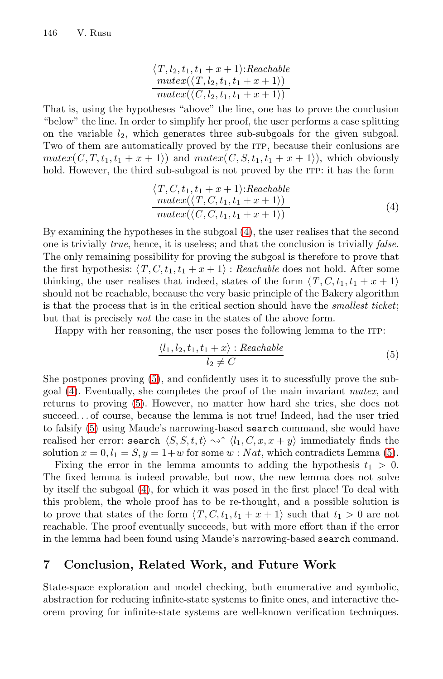$$
\frac{\langle T, l_2, t_1, t_1 + x + 1 \rangle: Reachable}{mutex(\langle T, l_2, t_1, t_1 + x + 1 \rangle)}\nmutex(\langle C, l_2, t_1, t_1 + x + 1 \rangle)
$$

That is, using the hypotheses "above" the line, one has to prove the conclusion "below" the line. In order to simplify her proof, the user performs a case splitting on the variable  $l_2$ , which generates three sub-subgoals for the given subgoal. Two of them are automatically proved by the ITP, because their conlusions are  $\text{mute}(C, T, t_1, t_1 + x + 1)$  and  $\text{mute}(C, S, t_1, t_1 + x + 1)$ , which obviously hold. However, the third sub-subgoal is not proved by the ITP: it has the form

<span id="page-12-1"></span>
$$
\langle T, C, t_1, t_1 + x + 1 \rangle: Reachable
$$
  
\n
$$
\frac{m \cdot \langle T, C, t_1, t_1 + x + 1 \rangle}{m \cdot \langle C, C, t_1, t_1 + x + 1 \rangle}
$$
\n
$$
(4)
$$

By examining the hypotheses in the subgoal [\(4\)](#page-12-1), the user realises that the second one is trivially *true*, hence, it is useless; and that the conclusion is trivially *false*. The only remaining possibility for proving the subgoal is therefore to prove that the first hypothesis:  $\langle T, C, t_1, t_1 + x + 1 \rangle$ : *Reachable* does not hold. After some thinking, the user realises that indeed, states of the form  $\langle T, C, t_1, t_1 + x + 1 \rangle$ should not be reachable, because the very basic principle of the Bakery algorithm is that the process that is in the critical section should have the smallest ticket; but that is precisely not the case in the states of the above form.

Happy with her reasoning, the user poses the following lemma to the ITP:

<span id="page-12-2"></span>
$$
\frac{\langle l_1, l_2, t_1, t_1 + x \rangle : Reachable}{l_2 \neq C} \tag{5}
$$

She postpones proving [\(5\)](#page-12-2), and confidently uses it to sucessfully prove the subgoal [\(4\)](#page-12-1). Eventually, she completes the proof of the main invariant mutex, and returns to proving [\(5\)](#page-12-2). However, no matter how hard she tries, she does not succeed. . . of course, because the lemma is not true! Indeed, had the user tried to falsify [\(5\)](#page-12-2) using Maude's narrowing-based search command, she would have realised her error: search  $\langle S, S, t, t \rangle \rightarrow^* \langle l_1, C, x, x+y \rangle$  immediately finds the solution  $x = 0, l_1 = S, y = 1+w$  for some  $w : Nat$ , which contradicts Lemma [\(5\)](#page-12-2).

Fixing the error in the lemma amounts to adding the hypothesis  $t_1 > 0$ . The fixed lemma is indeed provable, but now, the new lemma does not solve by itself the subgoal [\(4\)](#page-12-1), for which it was posed in the first place! To deal with this problem, the whole proof has to be re-thought, and a possible solution is to prove that states of the form  $\langle T, C, t_1, t_1 + x + 1 \rangle$  such that  $t_1 > 0$  are not reachable. The proof eventually succeeds, but with more effort than if the error in the lemma had been found using Maude's narrowing-based search command.

#### <span id="page-12-0"></span>7 Conclusion, Related Work, and Future Work

State-space exploration and model checking, both enumerative and symbolic, abstraction for reducing infinite-state systems to finite ones, and interactive theorem proving for infinite-state systems are well-known verification techniques.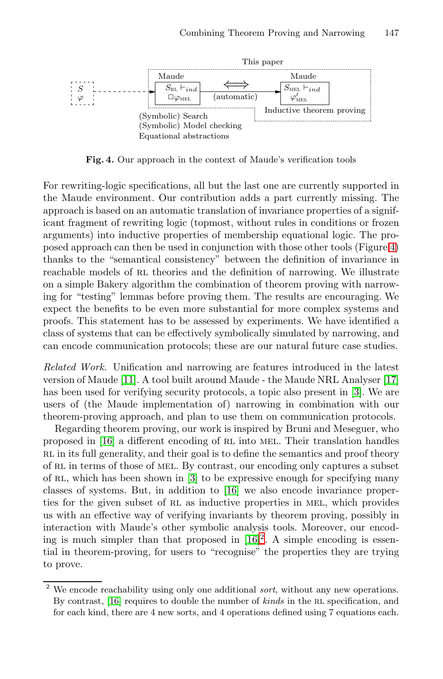

<span id="page-13-0"></span>Fig. 4. Our approach in the context of Maude's verification tools

For rewriting-logic specifications, all but the last one are currently supported in the Maude environment. Our contribution adds a part currently missing. The approach is based on an automatic translation of invariance properties of a significant fragment of rewriting logic (topmost, without rules in conditions or frozen arguments) into inductive properties of membership equational logic. The proposed approach can then be used in conjunction with those other tools (Figure [4\)](#page-13-0) thanks to the "semantical consistency" between the definition of invariance in reachable models of RL theories and the definition of narrowing. We illustrate on a simple Bakery algorithm the combination of theorem proving with narrowing for "testing" lemmas before proving them. The results are encouraging. We expect the benefits to be even more substantial for more complex systems and proofs. This statement has to be assessed by experiments. We have identified a class of systems that can be effectively symbolically simulated by narrowing, and can encode communication protocols; these are our natural future case studies.

Related Work. Unification and narrowing are features introduced in the latest version of Maude [\[11\]](#page-16-1). A tool built around Maude - the Maude NRL Analyser [\[17\]](#page-16-8) has been used for verifying security protocols, a topic also present in [\[3\]](#page-15-2). We are users of (the Maude implementation of) narrowing in combination with our theorem-proving approach, and plan to use them on communication protocols.

Regarding theorem proving, our work is inspired by Bruni and Meseguer, who proposed in [\[16\]](#page-16-7) a different encoding of rl into mel. Their translation handles RL in its full generality, and their goal is to define the semantics and proof theory of rl in terms of those of mel. By contrast, our encoding only captures a subset of RL, which has been shown in  $[3]$  to be expressive enough for specifying many classes of systems. But, in addition to [\[16\]](#page-16-7) we also encode invariance properties for the given subset of RL as inductive properties in MEL, which provides us with an effective way of verifying invariants by theorem proving, possibly in interaction with Maude's other symbolic analysis tools. Moreover, our encoding is much simpler than that proposed in  $[16]^2$  $[16]^2$ . A simple encoding is essential in theorem-proving, for users to "recognise" the properties they are trying to prove.

<span id="page-13-1"></span> $^{\rm 2}$  We encode reachability using only one additional  $sort,$  without any new operations. By contrast,  $[16]$  requires to double the number of kinds in the RL specification, and for each kind, there are 4 new sorts, and 4 operations defined using 7 equations each.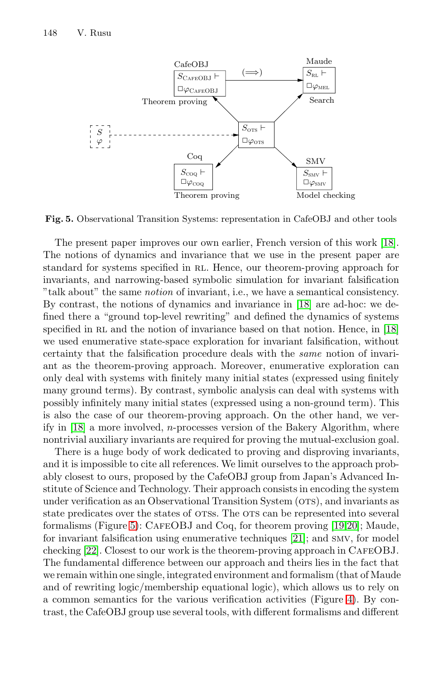

<span id="page-14-0"></span>Fig. 5. Observational Transition Systems: representation in CafeOBJ and other tools

The present paper improves our own earlier, French version of this work [\[18\]](#page-16-9). The notions of dynamics and invariance that we use in the present paper are standard for systems specified in RL. Hence, our theorem-proving approach for invariants, and narrowing-based symbolic simulation for invariant falsification "talk about" the same notion of invariant, i.e., we have a semantical consistency. By contrast, the notions of dynamics and invariance in [\[18\]](#page-16-9) are ad-hoc: we defined there a "ground top-level rewriting" and defined the dynamics of systems specified in RL and the notion of invariance based on that notion. Hence, in [\[18\]](#page-16-9) we used enumerative state-space exploration for invariant falsification, without certainty that the falsification procedure deals with the same notion of invariant as the theorem-proving approach. Moreover, enumerative exploration can only deal with systems with finitely many initial states (expressed using finitely many ground terms). By contrast, symbolic analysis can deal with systems with possibly infinitely many initial states (expressed using a non-ground term). This is also the case of our theorem-proving approach. On the other hand, we verify in  $[18]$  a more involved, *n*-processes version of the Bakery Algorithm, where nontrivial auxiliary invariants are required for proving the mutual-exclusion goal.

There is a huge body of work dedicated to proving and disproving invariants, and it is impossible to cite all references. We limit ourselves to the approach probably closest to ours, proposed by the CafeOBJ group from Japan's Advanced Institute of Science and Technology. Their approach consists in encoding the system under verification as an Observational Transition System (OTS), and invariants as state predicates over the states of OTSs. The OTS can be represented into several formalisms (Figure [5\)](#page-14-0): CAFEOBJ and Coq, for theorem proving [\[19](#page-16-10)[,20\]](#page-16-11); Maude, for invariant falsification using enumerative techniques [\[21\]](#page-16-12); and smv, for model checking [\[22\]](#page-16-13). Closest to our work is the theorem-proving approach in CafeOBJ. The fundamental difference between our approach and theirs lies in the fact that we remain within one single, integrated environment and formalism (that of Maude and of rewriting logic/membership equational logic), which allows us to rely on a common semantics for the various verification activities (Figure [4\)](#page-13-0). By contrast, the CafeOBJ group use several tools, with different formalisms and different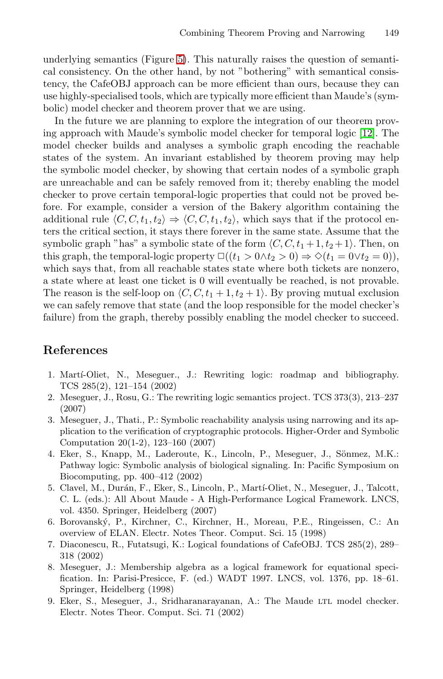underlying semantics (Figure [5\)](#page-14-0). This naturally raises the question of semantical consistency. On the other hand, by not "bothering" with semantical consistency, the CafeOBJ approach can be more efficient than ours, because they can use highly-specialised tools, which are typically more efficient than Maude's (symbolic) model checker and theorem prover that we are using.

In the future we are planning to explore the integration of our theorem proving approach with Maude's symbolic model checker for temporal logic [\[12\]](#page-16-2). The model checker builds and analyses a symbolic graph encoding the reachable states of the system. An invariant established by theorem proving may help the symbolic model checker, by showing that certain nodes of a symbolic graph are unreachable and can be safely removed from it; thereby enabling the model checker to prove certain temporal-logic properties that could not be proved before. For example, consider a version of the Bakery algorithm containing the additional rule  $\langle C, C, t_1, t_2 \rangle \Rightarrow \langle C, C, t_1, t_2 \rangle$ , which says that if the protocol enters the critical section, it stays there forever in the same state. Assume that the symbolic graph "has" a symbolic state of the form  $\langle C, C, t_1 + 1, t_2 + 1 \rangle$ . Then, on this graph, the temporal-logic property  $\Box((t_1 > 0 \land t_2 > 0) \Rightarrow \Diamond(t_1 = 0 \lor t_2 = 0)),$ which says that, from all reachable states state where both tickets are nonzero, a state where at least one ticket is 0 will eventually be reached, is not provable. The reason is the self-loop on  $\langle C, C, t_1 + 1, t_2 + 1 \rangle$ . By proving mutual exclusion we can safely remove that state (and the loop responsible for the model checker's failure) from the graph, thereby possibly enabling the model checker to succeed.

#### <span id="page-15-0"></span>References

- 1. Martí-Oliet, N., Meseguer., J.: Rewriting logic: roadmap and bibliography. TCS 285(2), 121–154 (2002)
- <span id="page-15-1"></span>2. Meseguer, J., Rosu, G.: The rewriting logic semantics project. TCS 373(3), 213–237 (2007)
- <span id="page-15-2"></span>3. Meseguer, J., Thati., P.: Symbolic reachability analysis using narrowing and its application to the verification of cryptographic protocols. Higher-Order and Symbolic Computation 20(1-2), 123–160 (2007)
- <span id="page-15-3"></span>4. Eker, S., Knapp, M., Laderoute, K., Lincoln, P., Meseguer, J., Sönmez, M.K.: Pathway logic: Symbolic analysis of biological signaling. In: Pacific Symposium on Biocomputing, pp. 400–412 (2002)
- <span id="page-15-4"></span>5. Clavel, M., Durán, F., Eker, S., Lincoln, P., Martí-Oliet, N., Meseguer, J., Talcott, C. L. (eds.): All About Maude - A High-Performance Logical Framework. LNCS, vol. 4350. Springer, Heidelberg (2007)
- <span id="page-15-5"></span>6. Borovansk´y, P., Kirchner, C., Kirchner, H., Moreau, P.E., Ringeissen, C.: An overview of ELAN. Electr. Notes Theor. Comput. Sci. 15 (1998)
- <span id="page-15-6"></span>7. Diaconescu, R., Futatsugi, K.: Logical foundations of CafeOBJ. TCS 285(2), 289– 318 (2002)
- <span id="page-15-7"></span>8. Meseguer, J.: Membership algebra as a logical framework for equational specification. In: Parisi-Presicce, F. (ed.) WADT 1997. LNCS, vol. 1376, pp. 18–61. Springer, Heidelberg (1998)
- <span id="page-15-8"></span>9. Eker, S., Meseguer, J., Sridharanarayanan, A.: The Maude LTL model checker. Electr. Notes Theor. Comput. Sci. 71 (2002)